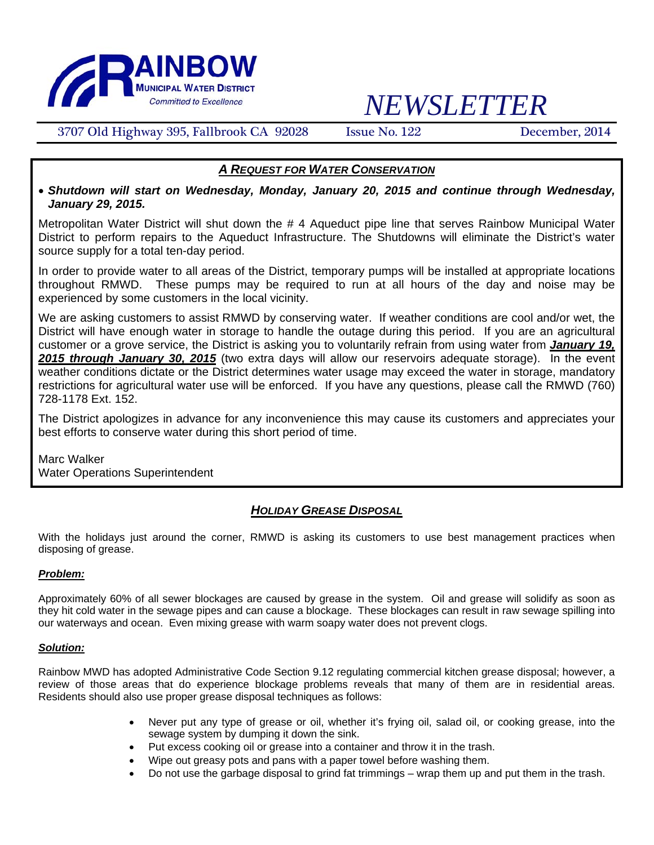

# *NEWSLETTER*

3707 Old Highway 395, Fallbrook CA 92028 Issue No. 122 December, 2014

## *A REQUEST FOR WATER CONSERVATION*

• *Shutdown will start on Wednesday, Monday, January 20, 2015 and continue through Wednesday, January 29, 2015.* 

Metropolitan Water District will shut down the # 4 Aqueduct pipe line that serves Rainbow Municipal Water District to perform repairs to the Aqueduct Infrastructure. The Shutdowns will eliminate the District's water source supply for a total ten-day period.

In order to provide water to all areas of the District, temporary pumps will be installed at appropriate locations throughout RMWD. These pumps may be required to run at all hours of the day and noise may be experienced by some customers in the local vicinity.

We are asking customers to assist RMWD by conserving water. If weather conditions are cool and/or wet, the District will have enough water in storage to handle the outage during this period. If you are an agricultural customer or a grove service, the District is asking you to voluntarily refrain from using water from *January 19, 2015 through January 30, 2015* (two extra days will allow our reservoirs adequate storage). In the event weather conditions dictate or the District determines water usage may exceed the water in storage, mandatory restrictions for agricultural water use will be enforced. If you have any questions, please call the RMWD (760) 728-1178 Ext. 152.

The District apologizes in advance for any inconvenience this may cause its customers and appreciates your best efforts to conserve water during this short period of time.

Marc Walker Water Operations Superintendent

## *HOLIDAY GREASE DISPOSAL*

With the holidays just around the corner, RMWD is asking its customers to use best management practices when disposing of grease.

### *Problem:*

Approximately 60% of all sewer blockages are caused by grease in the system. Oil and grease will solidify as soon as they hit cold water in the sewage pipes and can cause a blockage. These blockages can result in raw sewage spilling into our waterways and ocean. Even mixing grease with warm soapy water does not prevent clogs.

#### *Solution:*

Rainbow MWD has adopted Administrative Code Section 9.12 regulating commercial kitchen grease disposal; however, a review of those areas that do experience blockage problems reveals that many of them are in residential areas. Residents should also use proper grease disposal techniques as follows:

- Never put any type of grease or oil, whether it's frying oil, salad oil, or cooking grease, into the sewage system by dumping it down the sink.
- Put excess cooking oil or grease into a container and throw it in the trash.
- Wipe out greasy pots and pans with a paper towel before washing them.
- Do not use the garbage disposal to grind fat trimmings wrap them up and put them in the trash.